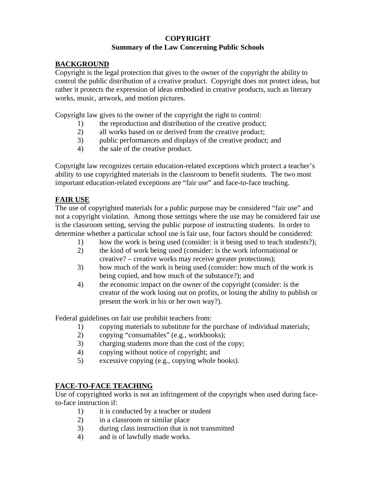# **COPYRIGHT Summary of the Law Concerning Public Schools**

### **BACKGROUND**

Copyright is the legal protection that gives to the owner of the copyright the ability to control the public distribution of a creative product. Copyright does not protect ideas, but rather it protects the expression of ideas embodied in creative products, such as literary works, music, artwork, and motion pictures.

Copyright law gives to the owner of the copyright the right to control:

- 1) the reproduction and distribution of the creative product;
- 2) all works based on or derived from the creative product;
- 3) public performances and displays of the creative product; and
- 4) the sale of the creative product.

Copyright law recognizes certain education-related exceptions which protect a teacher's ability to use copyrighted materials in the classroom to benefit students. The two most important education-related exceptions are "fair use" and face-to-face teaching.

# **FAIR USE**

The use of copyrighted materials for a public purpose may be considered "fair use" and not a copyright violation. Among those settings where the use may be considered fair use is the classroom setting, serving the public purpose of instructing students. In order to determine whether a particular school use is fair use, four factors should be considered:

- 1) how the work is being used (consider: is it being used to teach students?);
- 2) the kind of work being used (consider: is the work informational or creative? – creative works may receive greater protections);
- 3) how much of the work is being used (consider: how much of the work is being copied, and how much of the substance?); and
- 4) the economic impact on the owner of the copyright (consider: is the creator of the work losing out on profits, or losing the ability to publish or present the work in his or her own way?).

Federal guidelines on fair use prohibit teachers from:

- 1) copying materials to substitute for the purchase of individual materials;
- 2) copying "consumables" (e.g., workbooks);
- 3) charging students more than the cost of the copy;
- 4) copying without notice of copyright; and
- 5) excessive copying (e.g., copying whole books).

# **FACE-TO-FACE TEACHING**

Use of copyrighted works is not an infringement of the copyright when used during faceto-face instruction if:

- 1) it is conducted by a teacher or student
- 2) in a classroom or similar place
- 3) during class instruction that is not transmitted
- 4) and is of lawfully made works.